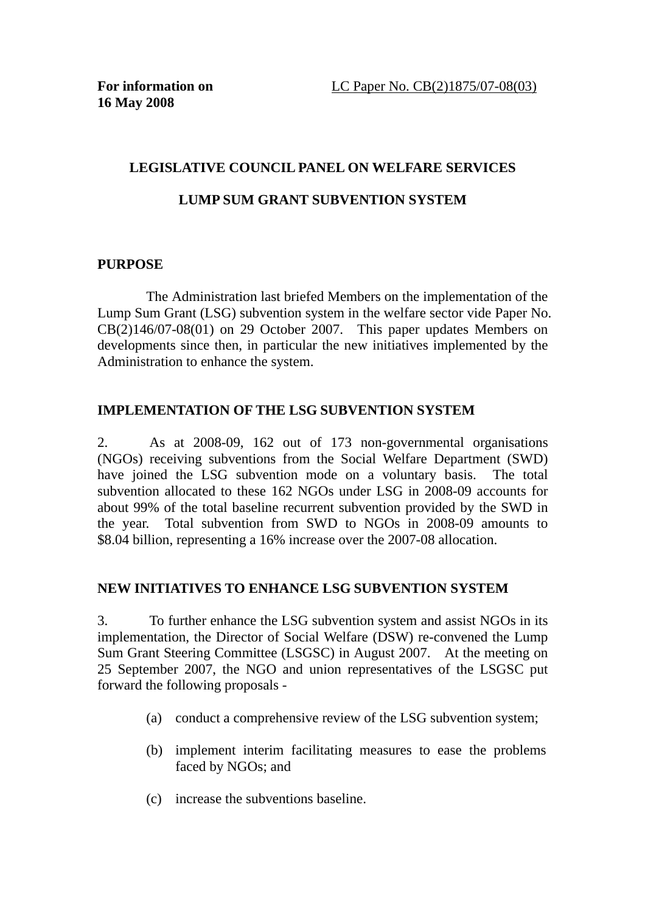### **LEGISLATIVE COUNCIL PANEL ON WELFARE SERVICES**

### **LUMP SUM GRANT SUBVENTION SYSTEM**

### **PURPOSE**

The Administration last briefed Members on the implementation of the Lump Sum Grant (LSG) subvention system in the welfare sector vide Paper No. CB(2)146/07-08(01) on 29 October 2007. This paper updates Members on developments since then, in particular the new initiatives implemented by the Administration to enhance the system.

## **IMPLEMENTATION OF THE LSG SUBVENTION SYSTEM**

2. As at 2008-09, 162 out of 173 non-governmental organisations (NGOs) receiving subventions from the Social Welfare Department (SWD) have joined the LSG subvention mode on a voluntary basis. The total subvention allocated to these 162 NGOs under LSG in 2008-09 accounts for about 99% of the total baseline recurrent subvention provided by the SWD in the year. Total subvention from SWD to NGOs in 2008-09 amounts to \$8.04 billion, representing a 16% increase over the 2007-08 allocation.

### **NEW INITIATIVES TO ENHANCE LSG SUBVENTION SYSTEM**

3. To further enhance the LSG subvention system and assist NGOs in its implementation, the Director of Social Welfare (DSW) re-convened the Lump Sum Grant Steering Committee (LSGSC) in August 2007. At the meeting on 25 September 2007, the NGO and union representatives of the LSGSC put forward the following proposals -

- (a) conduct a comprehensive review of the LSG subvention system;
- (b) implement interim facilitating measures to ease the problems faced by NGOs; and
- (c) increase the subventions baseline.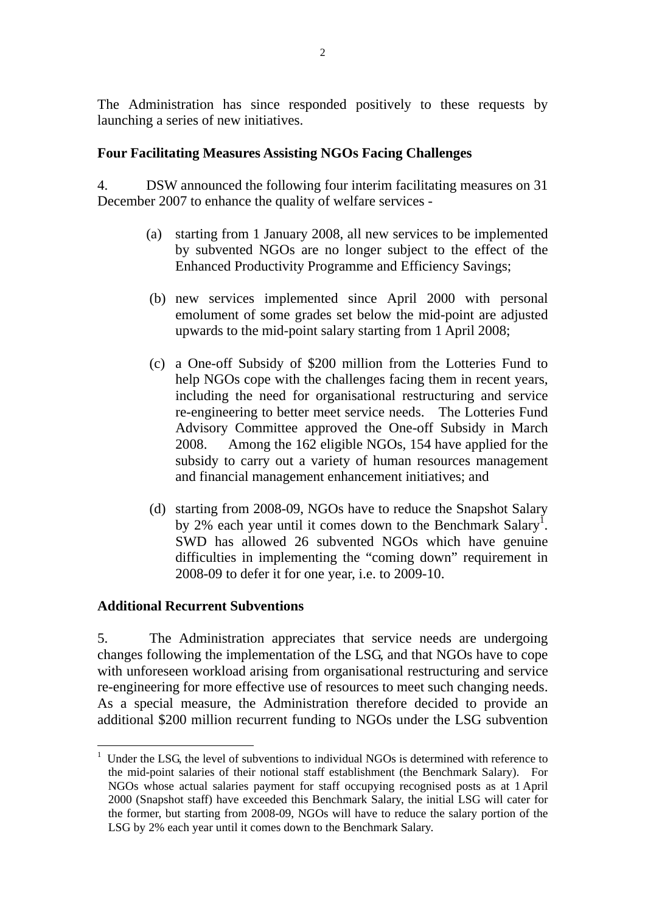The Administration has since responded positively to these requests by launching a series of new initiatives.

## **Four Facilitating Measures Assisting NGOs Facing Challenges**

4. DSW announced the following four interim facilitating measures on 31 December 2007 to enhance the quality of welfare services -

- (a) starting from 1 January 2008, all new services to be implemented by subvented NGOs are no longer subject to the effect of the Enhanced Productivity Programme and Efficiency Savings;
- (b) new services implemented since April 2000 with personal emolument of some grades set below the mid-point are adjusted upwards to the mid-point salary starting from 1 April 2008;
- (c) a One-off Subsidy of \$200 million from the Lotteries Fund to help NGOs cope with the challenges facing them in recent years, including the need for organisational restructuring and service re-engineering to better meet service needs. The Lotteries Fund Advisory Committee approved the One-off Subsidy in March 2008. Among the 162 eligible NGOs, 154 have applied for the subsidy to carry out a variety of human resources management and financial management enhancement initiatives; and
- (d) starting from 2008-09, NGOs have to reduce the Snapshot Salary by 2% each year until it comes down to the Benchmark Salary<sup>1</sup>. SWD has allowed 26 subvented NGOs which have genuine difficulties in implementing the "coming down" requirement in 2008-09 to defer it for one year, i.e. to 2009-10.

## **Additional Recurrent Subventions**

 $\overline{a}$ 

5. The Administration appreciates that service needs are undergoing changes following the implementation of the LSG, and that NGOs have to cope with unforeseen workload arising from organisational restructuring and service re-engineering for more effective use of resources to meet such changing needs. As a special measure, the Administration therefore decided to provide an additional \$200 million recurrent funding to NGOs under the LSG subvention

<sup>&</sup>lt;sup>1</sup> Under the LSG, the level of subventions to individual NGOs is determined with reference to the mid-point salaries of their notional staff establishment (the Benchmark Salary). For NGOs whose actual salaries payment for staff occupying recognised posts as at 1 April 2000 (Snapshot staff) have exceeded this Benchmark Salary, the initial LSG will cater for the former, but starting from 2008-09, NGOs will have to reduce the salary portion of the LSG by 2% each year until it comes down to the Benchmark Salary.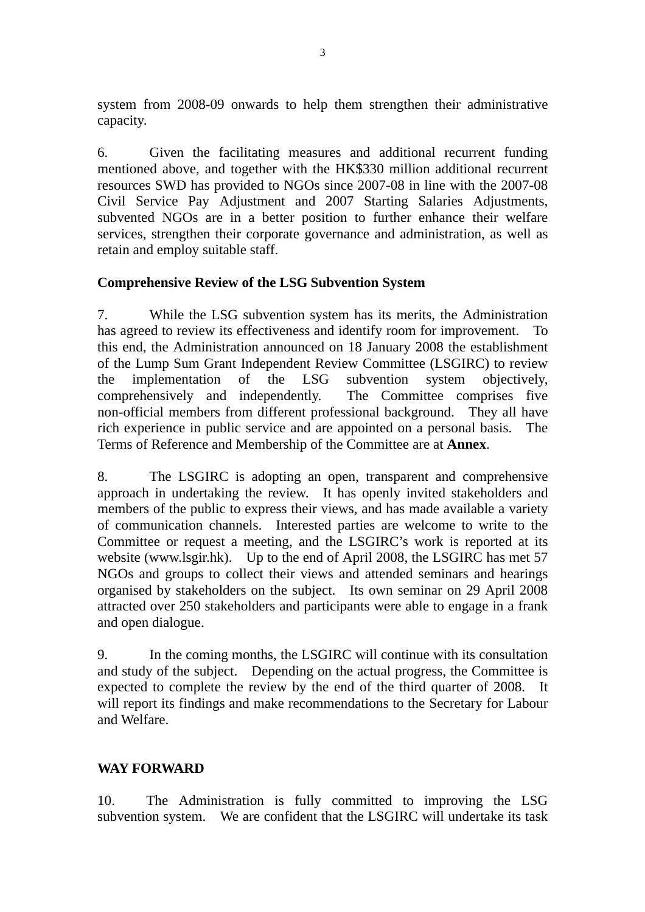system from 2008-09 onwards to help them strengthen their administrative capacity.

6. Given the facilitating measures and additional recurrent funding mentioned above, and together with the HK\$330 million additional recurrent resources SWD has provided to NGOs since 2007-08 in line with the 2007-08 Civil Service Pay Adjustment and 2007 Starting Salaries Adjustments, subvented NGOs are in a better position to further enhance their welfare services, strengthen their corporate governance and administration, as well as retain and employ suitable staff.

## **Comprehensive Review of the LSG Subvention System**

7. While the LSG subvention system has its merits, the Administration has agreed to review its effectiveness and identify room for improvement. To this end, the Administration announced on 18 January 2008 the establishment of the Lump Sum Grant Independent Review Committee (LSGIRC) to review the implementation of the LSG subvention system objectively, comprehensively and independently. The Committee comprises five non-official members from different professional background. They all have rich experience in public service and are appointed on a personal basis. The Terms of Reference and Membership of the Committee are at **Annex**.

8. The LSGIRC is adopting an open, transparent and comprehensive approach in undertaking the review. It has openly invited stakeholders and members of the public to express their views, and has made available a variety of communication channels. Interested parties are welcome to write to the Committee or request a meeting, and the LSGIRC's work is reported at its website (www.lsgir.hk). Up to the end of April 2008, the LSGIRC has met 57 NGOs and groups to collect their views and attended seminars and hearings organised by stakeholders on the subject. Its own seminar on 29 April 2008 attracted over 250 stakeholders and participants were able to engage in a frank and open dialogue.

9. In the coming months, the LSGIRC will continue with its consultation and study of the subject. Depending on the actual progress, the Committee is expected to complete the review by the end of the third quarter of 2008. It will report its findings and make recommendations to the Secretary for Labour and Welfare.

# **WAY FORWARD**

10. The Administration is fully committed to improving the LSG subvention system. We are confident that the LSGIRC will undertake its task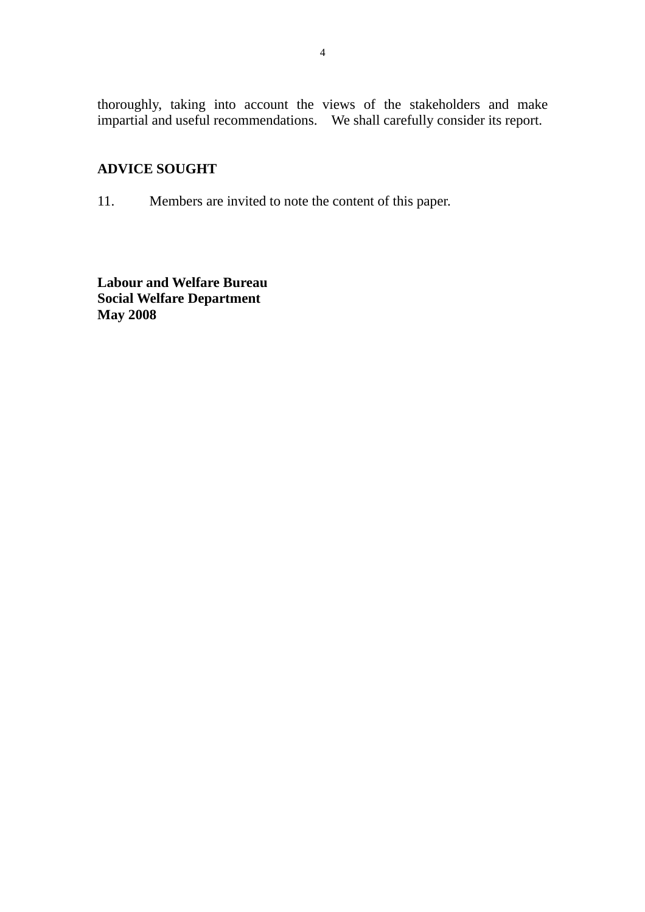thoroughly, taking into account the views of the stakeholders and make impartial and useful recommendations. We shall carefully consider its report.

# **ADVICE SOUGHT**

11. Members are invited to note the content of this paper.

**Labour and Welfare Bureau Social Welfare Department May 2008**